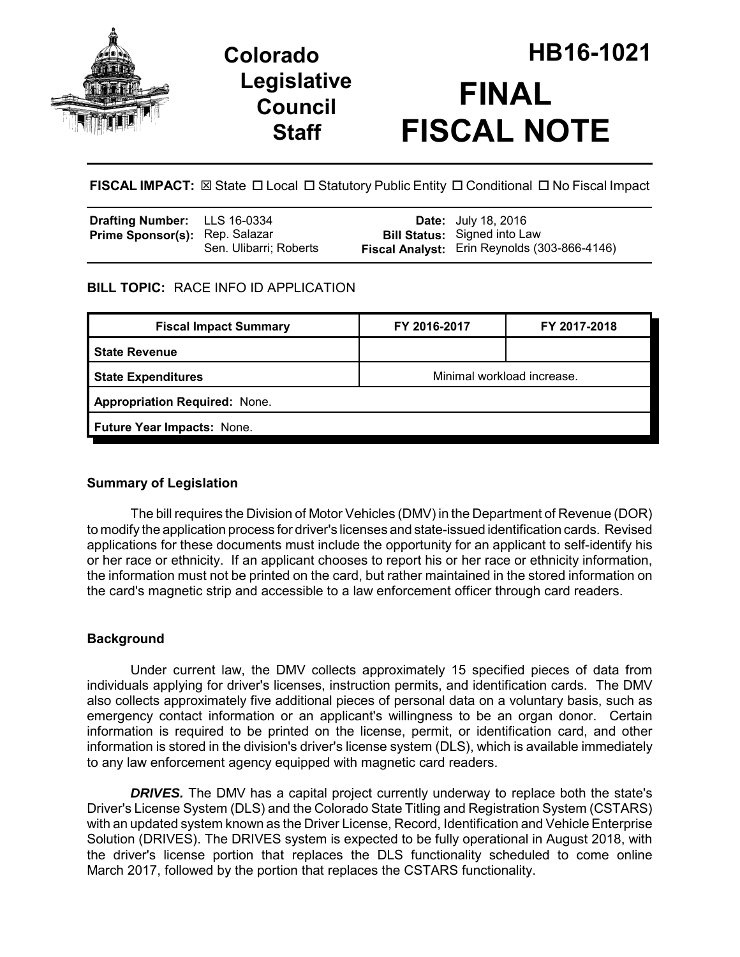

## **Legislative Council Staff**

# **Colorado HB16-1021 FINAL FISCAL NOTE**

**FISCAL IMPACT:** ⊠ State □ Local □ Statutory Public Entity □ Conditional □ No Fiscal Impact

| Drafting Number: LLS 16-0334          |                        | <b>Date:</b> July 18, 2016                                                          |
|---------------------------------------|------------------------|-------------------------------------------------------------------------------------|
| <b>Prime Sponsor(s): Rep. Salazar</b> | Sen. Ulibarri; Roberts | <b>Bill Status:</b> Signed into Law<br>Fiscal Analyst: Erin Reynolds (303-866-4146) |
|                                       |                        |                                                                                     |

## **BILL TOPIC:** RACE INFO ID APPLICATION

| <b>Fiscal Impact Summary</b>         | FY 2016-2017               | FY 2017-2018 |  |  |
|--------------------------------------|----------------------------|--------------|--|--|
| <b>State Revenue</b>                 |                            |              |  |  |
| <b>State Expenditures</b>            | Minimal workload increase. |              |  |  |
| <b>Appropriation Required: None.</b> |                            |              |  |  |
| Future Year Impacts: None.           |                            |              |  |  |
|                                      |                            |              |  |  |

## **Summary of Legislation**

The bill requires the Division of Motor Vehicles (DMV) in the Department of Revenue (DOR) to modify the application process for driver's licenses and state-issued identification cards. Revised applications for these documents must include the opportunity for an applicant to self-identify his or her race or ethnicity. If an applicant chooses to report his or her race or ethnicity information, the information must not be printed on the card, but rather maintained in the stored information on the card's magnetic strip and accessible to a law enforcement officer through card readers.

## **Background**

Under current law, the DMV collects approximately 15 specified pieces of data from individuals applying for driver's licenses, instruction permits, and identification cards. The DMV also collects approximately five additional pieces of personal data on a voluntary basis, such as emergency contact information or an applicant's willingness to be an organ donor. Certain information is required to be printed on the license, permit, or identification card, and other information is stored in the division's driver's license system (DLS), which is available immediately to any law enforcement agency equipped with magnetic card readers.

**DRIVES.** The DMV has a capital project currently underway to replace both the state's Driver's License System (DLS) and the Colorado State Titling and Registration System (CSTARS) with an updated system known as the Driver License, Record, Identification and Vehicle Enterprise Solution (DRIVES). The DRIVES system is expected to be fully operational in August 2018, with the driver's license portion that replaces the DLS functionality scheduled to come online March 2017, followed by the portion that replaces the CSTARS functionality.